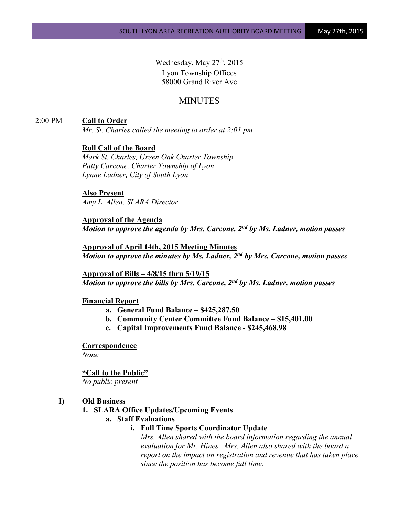Wednesday, May 27<sup>th</sup>, 2015 Lyon Township Offices 58000 Grand River Ave

# MINUTES

2:00 PM **Call to Order**

*Mr. St. Charles called the meeting to order at 2:01 pm*

### **Roll Call of the Board**

*Mark St. Charles, Green Oak Charter Township Patty Carcone, Charter Township of Lyon Lynne Ladner, City of South Lyon* 

#### **Also Present**

*Amy L. Allen, SLARA Director*

**Approval of the Agenda** *Motion to approve the agenda by Mrs. Carcone, 2nd by Ms. Ladner, motion passes*

**Approval of April 14th, 2015 Meeting Minutes** *Motion to approve the minutes by Ms. Ladner, 2nd by Mrs. Carcone, motion passes*

**Approval of Bills – 4/8/15 thru 5/19/15** *Motion to approve the bills by Mrs. Carcone, 2nd by Ms. Ladner, motion passes*

#### **Financial Report**

- **a. General Fund Balance – \$425,287.50**
- **b. Community Center Committee Fund Balance – \$15,401.00**
- **c. Capital Improvements Fund Balance - \$245,468.98**

**Correspondence** *None*

**"Call to the Public"**

*No public present*

### **I) Old Business**

### **1. SLARA Office Updates/Upcoming Events**

## **a. Staff Evaluations**

### **i. Full Time Sports Coordinator Update**

*Mrs. Allen shared with the board information regarding the annual evaluation for Mr. Hines. Mrs. Allen also shared with the board a report on the impact on registration and revenue that has taken place since the position has become full time.*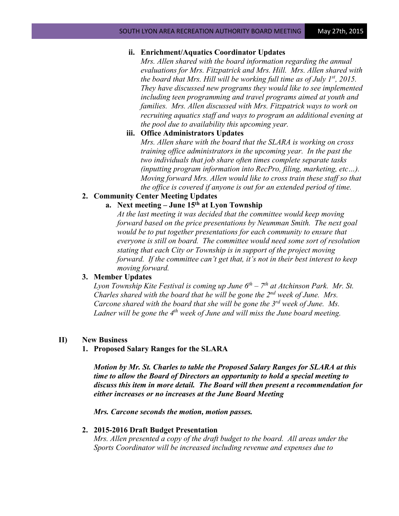### **ii. Enrichment/Aquatics Coordinator Updates**

*Mrs. Allen shared with the board information regarding the annual evaluations for Mrs. Fitzpatrick and Mrs. Hill. Mrs. Allen shared with the board that Mrs. Hill will be working full time as of July 1st, 2015. They have discussed new programs they would like to see implemented including teen programming and travel programs aimed at youth and families. Mrs. Allen discussed with Mrs. Fitzpatrick ways to work on recruiting aquatics staff and ways to program an additional evening at the pool due to availability this upcoming year.* 

### **iii. Office Administrators Updates**

*Mrs. Allen share with the board that the SLARA is working on cross training office administrators in the upcoming year. In the past the two individuals that job share often times complete separate tasks (inputting program information into RecPro, filing, marketing, etc…). Moving forward Mrs. Allen would like to cross train these staff so that the office is covered if anyone is out for an extended period of time.* 

## **2. Community Center Meeting Updates**

# **a. Next meeting – June 15th at Lyon Township**

*At the last meeting it was decided that the committee would keep moving forward based on the price presentations by Neumman Smith. The next goal would be to put together presentations for each community to ensure that everyone is still on board. The committee would need some sort of resolution stating that each City or Township is in support of the project moving forward. If the committee can't get that, it's not in their best interest to keep moving forward.*

#### **3. Member Updates**

*Lyon Township Kite Festival is coming up June 6th – 7th at Atchinson Park. Mr. St. Charles shared with the board that he will be gone the 2nd week of June. Mrs. Carcone shared with the board that she will be gone the 3rd week of June. Ms. Ladner will be gone the 4th week of June and will miss the June board meeting.*

### **II) New Business**

#### **1. Proposed Salary Ranges for the SLARA**

*Motion by Mr. St. Charles to table the Proposed Salary Ranges for SLARA at this time to allow the Board of Directors an opportunity to hold a special meeting to discuss this item in more detail. The Board will then present a recommendation for either increases or no increases at the June Board Meeting*

*Mrs. Carcone seconds the motion, motion passes.* 

### **2. 2015-2016 Draft Budget Presentation**

*Mrs. Allen presented a copy of the draft budget to the board. All areas under the Sports Coordinator will be increased including revenue and expenses due to*